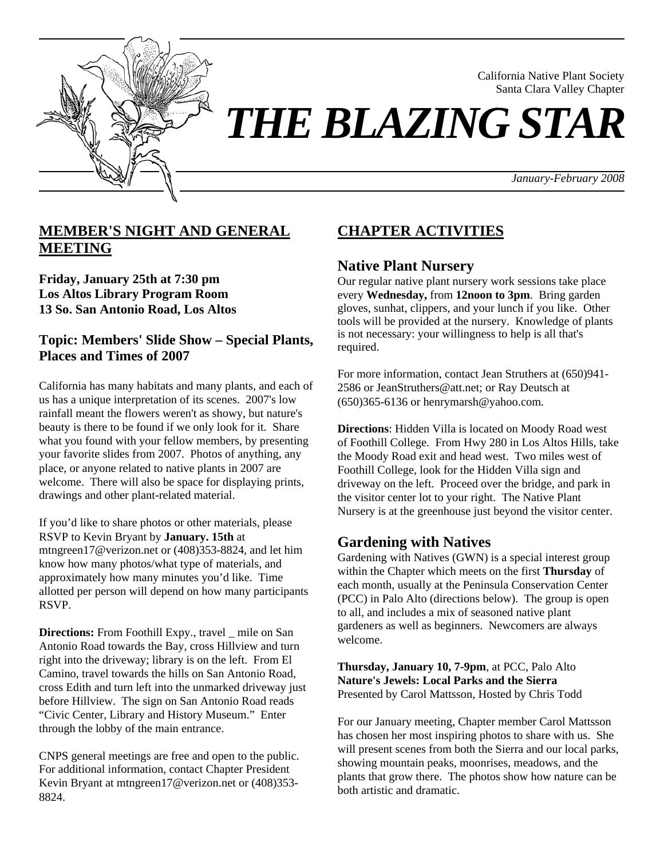

California Native Plant Society Santa Clara Valley Chapter

*January-February 2008*

# **MEMBER'S NIGHT AND GENERAL MEETING**

**Friday, January 25th at 7:30 pm Los Altos Library Program Room 13 So. San Antonio Road, Los Altos**

**Topic: Members' Slide Show – Special Plants, Places and Times of 2007**

California has many habitats and many plants, and each of us has a unique interpretation of its scenes. 2007's low rainfall meant the flowers weren't as showy, but nature's beauty is there to be found if we only look for it. Share what you found with your fellow members, by presenting your favorite slides from 2007. Photos of anything, any place, or anyone related to native plants in 2007 are welcome. There will also be space for displaying prints, drawings and other plant-related material.

If you'd like to share photos or other materials, please RSVP to Kevin Bryant by **January. 15th** at mtngreen17@verizon.net or (408)353-8824, and let him know how many photos/what type of materials, and approximately how many minutes you'd like. Time allotted per person will depend on how many participants RSVP.

**Directions:** From Foothill Expy., travel mile on San Antonio Road towards the Bay, cross Hillview and turn right into the driveway; library is on the left. From El Camino, travel towards the hills on San Antonio Road, cross Edith and turn left into the unmarked driveway just before Hillview. The sign on San Antonio Road reads "Civic Center, Library and History Museum." Enter through the lobby of the main entrance.

CNPS general meetings are free and open to the public. For additional information, contact Chapter President Kevin Bryant at mtngreen17@verizon.net or (408)353- 8824.

# **CHAPTER ACTIVITIES**

## **Native Plant Nursery**

Our regular native plant nursery work sessions take place every **Wednesday,** from **12noon to 3pm**. Bring garden gloves, sunhat, clippers, and your lunch if you like. Other tools will be provided at the nursery. Knowledge of plants is not necessary: your willingness to help is all that's required.

For more information, contact Jean Struthers at (650)941- 2586 or JeanStruthers@att.net; or Ray Deutsch at (650)365-6136 or henrymarsh@yahoo.com.

**Directions**: Hidden Villa is located on Moody Road west of Foothill College. From Hwy 280 in Los Altos Hills, take the Moody Road exit and head west. Two miles west of Foothill College, look for the Hidden Villa sign and driveway on the left. Proceed over the bridge, and park in the visitor center lot to your right. The Native Plant Nursery is at the greenhouse just beyond the visitor center.

## **Gardening with Natives**

Gardening with Natives (GWN) is a special interest group within the Chapter which meets on the first **Thursday** of each month, usually at the Peninsula Conservation Center (PCC) in Palo Alto (directions below). The group is open to all, and includes a mix of seasoned native plant gardeners as well as beginners. Newcomers are always welcome.

**Thursday, January 10, 7-9pm**, at PCC, Palo Alto **Nature's Jewels: Local Parks and the Sierra** Presented by Carol Mattsson, Hosted by Chris Todd

For our January meeting, Chapter member Carol Mattsson has chosen her most inspiring photos to share with us. She will present scenes from both the Sierra and our local parks, showing mountain peaks, moonrises, meadows, and the plants that grow there. The photos show how nature can be both artistic and dramatic.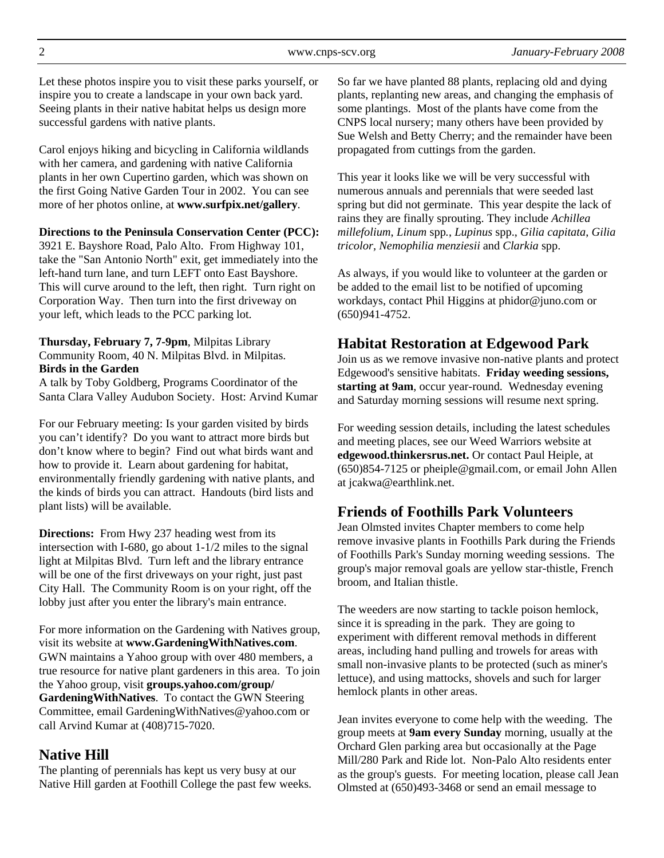Let these photos inspire you to visit these parks yourself, or inspire you to create a landscape in your own back yard. Seeing plants in their native habitat helps us design more successful gardens with native plants.

Carol enjoys hiking and bicycling in California wildlands with her camera, and gardening with native California plants in her own Cupertino garden, which was shown on the first Going Native Garden Tour in 2002. You can see more of her photos online, at **www.surfpix.net/gallery**.

#### **Directions to the Peninsula Conservation Center (PCC):**

3921 E. Bayshore Road, Palo Alto. From Highway 101, take the "San Antonio North" exit, get immediately into the left-hand turn lane, and turn LEFT onto East Bayshore. This will curve around to the left, then right. Turn right on Corporation Way. Then turn into the first driveway on your left, which leads to the PCC parking lot.

#### **Thursday, February 7, 7-9pm**, Milpitas Library Community Room, 40 N. Milpitas Blvd. in Milpitas. **Birds in the Garden**

A talk by Toby Goldberg, Programs Coordinator of the Santa Clara Valley Audubon Society. Host: Arvind Kumar

For our February meeting: Is your garden visited by birds you can't identify? Do you want to attract more birds but don't know where to begin? Find out what birds want and how to provide it. Learn about gardening for habitat, environmentally friendly gardening with native plants, and the kinds of birds you can attract. Handouts (bird lists and plant lists) will be available.

**Directions:** From Hwy 237 heading west from its intersection with I-680, go about 1-1/2 miles to the signal light at Milpitas Blvd. Turn left and the library entrance will be one of the first driveways on your right, just past City Hall. The Community Room is on your right, off the lobby just after you enter the library's main entrance.

For more information on the Gardening with Natives group, visit its website at **www.GardeningWithNatives.com**. GWN maintains a Yahoo group with over 480 members, a true resource for native plant gardeners in this area. To join the Yahoo group, visit **groups.yahoo.com/group/ GardeningWithNatives**. To contact the GWN Steering Committee, email GardeningWithNatives@yahoo.com or call Arvind Kumar at (408)715-7020.

### **Native Hill**

The planting of perennials has kept us very busy at our Native Hill garden at Foothill College the past few weeks.

So far we have planted 88 plants, replacing old and dying plants, replanting new areas, and changing the emphasis of some plantings. Most of the plants have come from the CNPS local nursery; many others have been provided by Sue Welsh and Betty Cherry; and the remainder have been propagated from cuttings from the garden.

This year it looks like we will be very successful with numerous annuals and perennials that were seeded last spring but did not germinate. This year despite the lack of rains they are finally sprouting. They include *Achillea millefolium*, *Linum* spp*.*, *Lupinus* spp., *Gilia capitata*, *Gilia tricolor, Nemophilia menziesii* and *Clarkia* spp.

As always, if you would like to volunteer at the garden or be added to the email list to be notified of upcoming workdays, contact Phil Higgins at phidor@juno.com or (650)941-4752.

## **Habitat Restoration at Edgewood Park**

Join us as we remove invasive non-native plants and protect Edgewood's sensitive habitats. **Friday weeding sessions, starting at 9am**, occur year-round. Wednesday evening and Saturday morning sessions will resume next spring.

For weeding session details, including the latest schedules and meeting places, see our Weed Warriors website at **edgewood.thinkersrus.net.** Or contact Paul Heiple, at (650)854-7125 or pheiple@gmail.com, or email John Allen at jcakwa@earthlink.net.

# **Friends of Foothills Park Volunteers**

Jean Olmsted invites Chapter members to come help remove invasive plants in Foothills Park during the Friends of Foothills Park's Sunday morning weeding sessions. The group's major removal goals are yellow star-thistle, French broom, and Italian thistle.

The weeders are now starting to tackle poison hemlock, since it is spreading in the park. They are going to experiment with different removal methods in different areas, including hand pulling and trowels for areas with small non-invasive plants to be protected (such as miner's lettuce), and using mattocks, shovels and such for larger hemlock plants in other areas.

Jean invites everyone to come help with the weeding. The group meets at **9am every Sunday** morning, usually at the Orchard Glen parking area but occasionally at the Page Mill/280 Park and Ride lot. Non-Palo Alto residents enter as the group's guests. For meeting location, please call Jean Olmsted at (650)493-3468 or send an email message to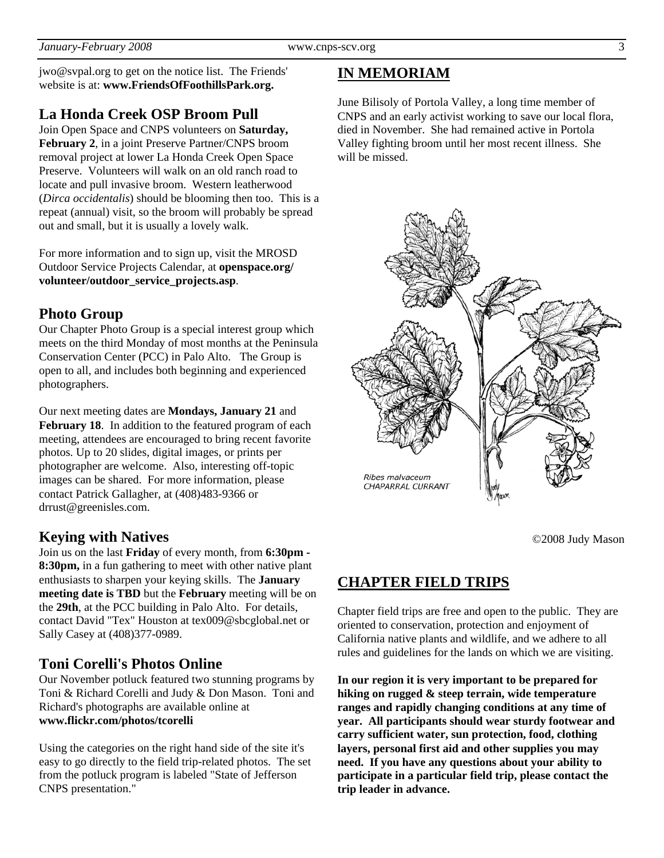jwo@svpal.org to get on the notice list. The Friends' website is at: **www.FriendsOfFoothillsPark.org.**

## **La Honda Creek OSP Broom Pull**

Join Open Space and CNPS volunteers on **Saturday, February 2**, in a joint Preserve Partner/CNPS broom removal project at lower La Honda Creek Open Space Preserve. Volunteers will walk on an old ranch road to locate and pull invasive broom. Western leatherwood (*Dirca occidentalis*) should be blooming then too. This is a repeat (annual) visit, so the broom will probably be spread out and small, but it is usually a lovely walk.

For more information and to sign up, visit the MROSD Outdoor Service Projects Calendar, at **openspace.org/ volunteer/outdoor\_service\_projects.asp**.

## **Photo Group**

Our Chapter Photo Group is a special interest group which meets on the third Monday of most months at the Peninsula Conservation Center (PCC) in Palo Alto. The Group is open to all, and includes both beginning and experienced photographers.

Our next meeting dates are **Mondays, January 21** and **February 18.** In addition to the featured program of each meeting, attendees are encouraged to bring recent favorite photos. Up to 20 slides, digital images, or prints per photographer are welcome. Also, interesting off-topic images can be shared. For more information, please contact Patrick Gallagher, at (408)483-9366 or drrust@greenisles.com.

### **Keying with Natives**

Join us on the last **Friday** of every month, from **6:30pm - 8:30pm,** in a fun gathering to meet with other native plant enthusiasts to sharpen your keying skills. The **January meeting date is TBD** but the **February** meeting will be on the **29th**, at the PCC building in Palo Alto. For details, contact David "Tex" Houston at tex009@sbcglobal.net or Sally Casey at (408)377-0989.

## **Toni Corelli's Photos Online**

Our November potluck featured two stunning programs by Toni & Richard Corelli and Judy & Don Mason. Toni and Richard's photographs are available online at **www.flickr.com/photos/tcorelli**

Using the categories on the right hand side of the site it's easy to go directly to the field trip-related photos. The set from the potluck program is labeled "State of Jefferson CNPS presentation."

# **IN MEMORIAM**

June Bilisoly of Portola Valley, a long time member of CNPS and an early activist working to save our local flora, died in November. She had remained active in Portola Valley fighting broom until her most recent illness. She will be missed.



©2008 Judy Mason

# **CHAPTER FIELD TRIPS**

Chapter field trips are free and open to the public. They are oriented to conservation, protection and enjoyment of California native plants and wildlife, and we adhere to all rules and guidelines for the lands on which we are visiting.

**In our region it is very important to be prepared for hiking on rugged & steep terrain, wide temperature ranges and rapidly changing conditions at any time of year. All participants should wear sturdy footwear and carry sufficient water, sun protection, food, clothing layers, personal first aid and other supplies you may need. If you have any questions about your ability to participate in a particular field trip, please contact the trip leader in advance.**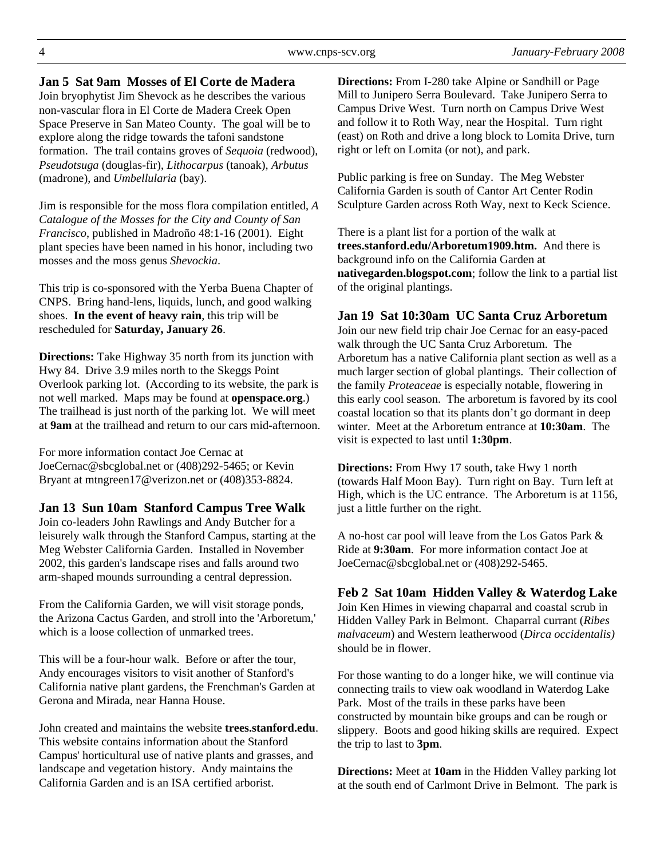#### **Jan 5 Sat 9am Mosses of El Corte de Madera**

Join bryophytist Jim Shevock as he describes the various non-vascular flora in El Corte de Madera Creek Open Space Preserve in San Mateo County. The goal will be to explore along the ridge towards the tafoni sandstone formation. The trail contains groves of *Sequoia* (redwood), *Pseudotsuga* (douglas-fir), *Lithocarpus* (tanoak), *Arbutus* (madrone), and *Umbellularia* (bay).

Jim is responsible for the moss flora compilation entitled, *A Catalogue of the Mosses for the City and County of San Francisco*, published in Madroño 48:1-16 (2001). Eight plant species have been named in his honor, including two mosses and the moss genus *Shevockia*.

This trip is co-sponsored with the Yerba Buena Chapter of CNPS. Bring hand-lens, liquids, lunch, and good walking shoes. **In the event of heavy rain**, this trip will be rescheduled for **Saturday, January 26**.

**Directions:** Take Highway 35 north from its junction with Hwy 84. Drive 3.9 miles north to the Skeggs Point Overlook parking lot. (According to its website, the park is not well marked. Maps may be found at **openspace.org**.) The trailhead is just north of the parking lot. We will meet at **9am** at the trailhead and return to our cars mid-afternoon.

For more information contact Joe Cernac at JoeCernac@sbcglobal.net or (408)292-5465; or Kevin Bryant at mtngreen17@verizon.net or (408)353-8824.

### **Jan 13 Sun 10am Stanford Campus Tree Walk**

Join co-leaders John Rawlings and Andy Butcher for a leisurely walk through the Stanford Campus, starting at the Meg Webster California Garden. Installed in November 2002, this garden's landscape rises and falls around two arm-shaped mounds surrounding a central depression.

From the California Garden, we will visit storage ponds, the Arizona Cactus Garden, and stroll into the 'Arboretum,' which is a loose collection of unmarked trees.

This will be a four-hour walk. Before or after the tour, Andy encourages visitors to visit another of Stanford's California native plant gardens, the Frenchman's Garden at Gerona and Mirada, near Hanna House.

John created and maintains the website **trees.stanford.edu**. This website contains information about the Stanford Campus' horticultural use of native plants and grasses, and landscape and vegetation history. Andy maintains the California Garden and is an ISA certified arborist.

**Directions:** From I-280 take Alpine or Sandhill or Page Mill to Junipero Serra Boulevard. Take Junipero Serra to Campus Drive West. Turn north on Campus Drive West and follow it to Roth Way, near the Hospital. Turn right (east) on Roth and drive a long block to Lomita Drive, turn right or left on Lomita (or not), and park.

Public parking is free on Sunday. The Meg Webster California Garden is south of Cantor Art Center Rodin Sculpture Garden across Roth Way, next to Keck Science.

There is a plant list for a portion of the walk at **trees.stanford.edu/Arboretum1909.htm.** And there is background info on the California Garden at **nativegarden.blogspot.com**; follow the link to a partial list of the original plantings.

### **Jan 19 Sat 10:30am UC Santa Cruz Arboretum**

Join our new field trip chair Joe Cernac for an easy-paced walk through the UC Santa Cruz Arboretum. The Arboretum has a native California plant section as well as a much larger section of global plantings. Their collection of the family *Proteaceae* is especially notable, flowering in this early cool season. The arboretum is favored by its cool coastal location so that its plants don't go dormant in deep winter. Meet at the Arboretum entrance at **10:30am**. The visit is expected to last until **1:30pm**.

**Directions:** From Hwy 17 south, take Hwy 1 north (towards Half Moon Bay). Turn right on Bay. Turn left at High, which is the UC entrance. The Arboretum is at 1156, just a little further on the right.

A no-host car pool will leave from the Los Gatos Park & Ride at **9:30am**. For more information contact Joe at JoeCernac@sbcglobal.net or (408)292-5465.

**Feb 2 Sat 10am Hidden Valley & Waterdog Lake** Join Ken Himes in viewing chaparral and coastal scrub in Hidden Valley Park in Belmont. Chaparral currant (*Ribes malvaceum*) and Western leatherwood (*Dirca occidentalis)* should be in flower.

For those wanting to do a longer hike, we will continue via connecting trails to view oak woodland in Waterdog Lake Park. Most of the trails in these parks have been constructed by mountain bike groups and can be rough or slippery. Boots and good hiking skills are required. Expect the trip to last to **3pm**.

**Directions:** Meet at **10am** in the Hidden Valley parking lot at the south end of Carlmont Drive in Belmont. The park is